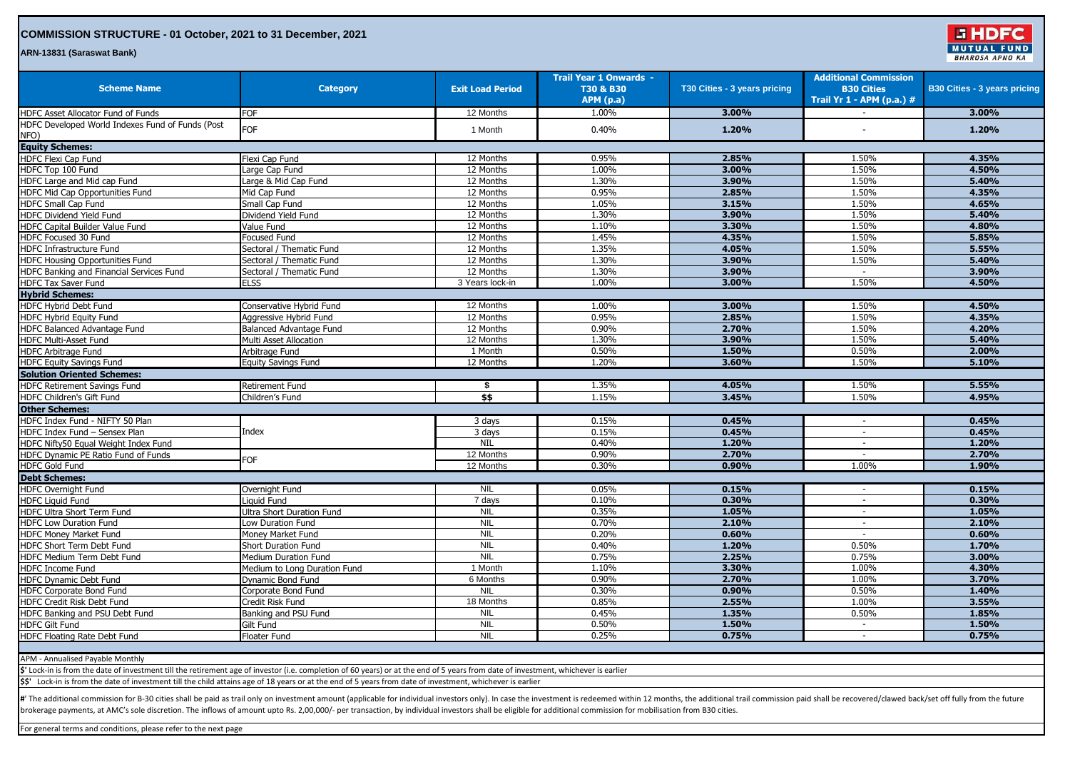## **COMMISSION STRUCTURE - 01 October, 2021 to 31 December, 2021**

**ARN-13831 (Saraswat Bank)**

| <b>Scheme Name</b>                                                                                                                                                                  | <b>Category</b>               | <b>Exit Load Period</b> | <b>Trail Year 1 Onwards -</b><br>T30 & B30<br><b>APM</b> (p.a) | T30 Cities - 3 years pricing | <b>Additional Commission</b><br><b>B30 Cities</b><br>Trail Yr 1 - APM (p.a.) # | <b>B30 Cities - 3 years pricing</b> |
|-------------------------------------------------------------------------------------------------------------------------------------------------------------------------------------|-------------------------------|-------------------------|----------------------------------------------------------------|------------------------------|--------------------------------------------------------------------------------|-------------------------------------|
| HDFC Asset Allocator Fund of Funds                                                                                                                                                  | <b>FOF</b>                    | 12 Months               | 1.00%                                                          | 3.00%                        | $\sim$                                                                         | 3.00%                               |
| HDFC Developed World Indexes Fund of Funds (Post<br>NFO)                                                                                                                            | FOF                           | 1 Month                 | 0.40%                                                          | 1.20%                        |                                                                                | 1.20%                               |
| <b>Equity Schemes:</b>                                                                                                                                                              |                               |                         |                                                                |                              |                                                                                |                                     |
| HDFC Flexi Cap Fund                                                                                                                                                                 | Flexi Cap Fund                | 12 Months               | 0.95%                                                          | 2.85%                        | 1.50%                                                                          | 4.35%                               |
| HDFC Top 100 Fund                                                                                                                                                                   | Large Cap Fund                | 12 Months               | 1.00%                                                          | 3.00%                        | 1.50%                                                                          | 4.50%                               |
| HDFC Large and Mid cap Fund                                                                                                                                                         | Large & Mid Cap Fund          | 12 Months               | 1.30%                                                          | 3.90%                        | 1.50%                                                                          | 5.40%                               |
| HDFC Mid Cap Opportunities Fund                                                                                                                                                     | Mid Cap Fund                  | 12 Months               | 0.95%                                                          | 2.85%                        | 1.50%                                                                          | 4.35%                               |
| <b>HDFC Small Cap Fund</b>                                                                                                                                                          | Small Cap Fund                | 12 Months               | 1.05%                                                          | 3.15%                        | 1.50%                                                                          | 4.65%                               |
| HDFC Dividend Yield Fund                                                                                                                                                            | Dividend Yield Fund           | 12 Months               | 1.30%                                                          | 3.90%                        | 1.50%                                                                          | 5.40%                               |
| HDFC Capital Builder Value Fund                                                                                                                                                     | Value Fund                    | 12 Months               | 1.10%                                                          | 3.30%                        | 1.50%                                                                          | 4.80%                               |
| HDFC Focused 30 Fund                                                                                                                                                                | Focused Fund                  | 12 Months               | 1.45%                                                          | 4.35%                        | 1.50%                                                                          | 5.85%                               |
| <b>HDFC Infrastructure Fund</b>                                                                                                                                                     | Sectoral / Thematic Fund      | 12 Months               | 1.35%                                                          | 4.05%                        | 1.50%                                                                          | 5.55%                               |
| <b>HDFC Housing Opportunities Fund</b>                                                                                                                                              | Sectoral / Thematic Fund      | 12 Months               | 1.30%                                                          | 3.90%                        | 1.50%                                                                          | 5.40%                               |
| HDFC Banking and Financial Services Fund                                                                                                                                            | Sectoral / Thematic Fund      | 12 Months               | 1.30%                                                          | 3.90%                        | $\sim$                                                                         | 3.90%                               |
| HDFC Tax Saver Fund                                                                                                                                                                 | <b>ELSS</b>                   | 3 Years lock-in         | 1.00%                                                          | 3.00%                        | 1.50%                                                                          | 4.50%                               |
| <b>Hybrid Schemes:</b>                                                                                                                                                              |                               |                         |                                                                |                              |                                                                                |                                     |
| HDFC Hybrid Debt Fund                                                                                                                                                               | Conservative Hybrid Fund      | 12 Months               | 1.00%                                                          | 3.00%                        | 1.50%                                                                          | 4.50%                               |
| HDFC Hybrid Equity Fund                                                                                                                                                             | Aggressive Hybrid Fund        | 12 Months               | 0.95%                                                          | 2.85%                        | 1.50%                                                                          | 4.35%                               |
| HDFC Balanced Advantage Fund                                                                                                                                                        | Balanced Advantage Fund       | 12 Months               | 0.90%                                                          | 2.70%                        | 1.50%                                                                          | 4.20%                               |
| HDFC Multi-Asset Fund                                                                                                                                                               | <b>Multi Asset Allocation</b> | 12 Months               | 1.30%                                                          | 3.90%                        | 1.50%                                                                          | 5.40%                               |
| <b>HDFC Arbitrage Fund</b>                                                                                                                                                          | Arbitrage Fund                | 1 Month                 | 0.50%                                                          | 1.50%                        | 0.50%                                                                          | 2.00%                               |
| <b>HDFC Equity Savings Fund</b>                                                                                                                                                     | <b>Equity Savings Fund</b>    | 12 Months               | 1.20%                                                          | 3.60%                        | 1.50%                                                                          | 5.10%                               |
| <b>Solution Oriented Schemes:</b>                                                                                                                                                   |                               |                         |                                                                |                              |                                                                                |                                     |
| HDFC Retirement Savings Fund                                                                                                                                                        | <b>Retirement Fund</b>        | \$                      | 1.35%                                                          | 4.05%                        | 1.50%                                                                          | 5.55%                               |
| HDFC Children's Gift Fund                                                                                                                                                           | Children's Fund               | \$\$                    | 1.15%                                                          | 3.45%                        | 1.50%                                                                          | 4.95%                               |
| <b>Other Schemes:</b>                                                                                                                                                               |                               |                         |                                                                |                              |                                                                                |                                     |
| HDFC Index Fund - NIFTY 50 Plan                                                                                                                                                     | Index                         | 3 days                  | 0.15%                                                          | 0.45%                        | $\sim$                                                                         | 0.45%                               |
| HDFC Index Fund - Sensex Plan                                                                                                                                                       |                               | 3 days                  | 0.15%                                                          | 0.45%                        | $\sim$                                                                         | 0.45%                               |
| HDFC Nifty50 Equal Weight Index Fund                                                                                                                                                |                               | <b>NIL</b>              | 0.40%                                                          | 1.20%                        | $\sim$                                                                         | 1.20%                               |
| HDFC Dynamic PE Ratio Fund of Funds                                                                                                                                                 | FOF                           | 12 Months               | 0.90%                                                          | 2.70%                        | $\sim$                                                                         | 2.70%                               |
| <b>HDFC Gold Fund</b>                                                                                                                                                               |                               | 12 Months               | 0.30%                                                          | 0.90%                        | 1.00%                                                                          | 1.90%                               |
| <b>Debt Schemes:</b>                                                                                                                                                                |                               |                         |                                                                |                              |                                                                                |                                     |
| HDFC Overnight Fund                                                                                                                                                                 | Overnight Fund                | <b>NIL</b>              | 0.05%                                                          | 0.15%                        | $\sim$                                                                         | 0.15%                               |
| <b>HDFC Liquid Fund</b>                                                                                                                                                             | Liguid Fund                   | 7 days                  | 0.10%                                                          | 0.30%                        | $\sim$                                                                         | 0.30%                               |
| <b>HDFC Ultra Short Term Fund</b>                                                                                                                                                   | Ultra Short Duration Fund     | <b>NIL</b>              | 0.35%                                                          | 1.05%                        | $\sim$                                                                         | 1.05%                               |
| HDFC Low Duration Fund                                                                                                                                                              | Low Duration Fund             | <b>NIL</b>              | 0.70%                                                          | 2.10%                        | $\sim$                                                                         | 2.10%                               |
| HDFC Money Market Fund                                                                                                                                                              | Money Market Fund             | <b>NIL</b>              | 0.20%                                                          | 0.60%                        | $\overline{\phantom{a}}$                                                       | 0.60%                               |
| HDFC Short Term Debt Fund                                                                                                                                                           | Short Duration Fund           | <b>NIL</b>              | 0.40%                                                          | 1.20%                        | 0.50%                                                                          | 1.70%                               |
| HDFC Medium Term Debt Fund                                                                                                                                                          | <b>Medium Duration Fund</b>   | <b>NIL</b>              | 0.75%                                                          | 2.25%                        | 0.75%                                                                          | 3.00%                               |
| <b>HDFC Income Fund</b>                                                                                                                                                             | Medium to Long Duration Fund  | 1 Month                 | 1.10%                                                          | 3.30%                        | 1.00%                                                                          | 4.30%                               |
| HDFC Dynamic Debt Fund                                                                                                                                                              | Dynamic Bond Fund             | 6 Months                | 0.90%                                                          | 2.70%                        | 1.00%                                                                          | 3.70%                               |
| HDFC Corporate Bond Fund                                                                                                                                                            | Corporate Bond Fund           | <b>NIL</b>              | 0.30%                                                          | 0.90%                        | 0.50%                                                                          | 1.40%                               |
| HDFC Credit Risk Debt Fund                                                                                                                                                          | Credit Risk Fund              | 18 Months               | 0.85%                                                          | 2.55%                        | 1.00%                                                                          | 3.55%                               |
| HDFC Banking and PSU Debt Fund                                                                                                                                                      | Banking and PSU Fund          | <b>NIL</b>              | 0.45%                                                          | 1.35%                        | 0.50%                                                                          | 1.85%                               |
| <b>HDFC Gilt Fund</b>                                                                                                                                                               | Gilt Fund                     | <b>NIL</b>              | 0.50%                                                          | 1.50%                        |                                                                                | 1.50%                               |
| HDFC Floating Rate Debt Fund                                                                                                                                                        | Floater Fund                  | <b>NIL</b>              | 0.25%                                                          | 0.75%                        | $\sim$                                                                         | 0.75%                               |
|                                                                                                                                                                                     |                               |                         |                                                                |                              |                                                                                |                                     |
| APM - Annualised Payable Monthly                                                                                                                                                    |                               |                         |                                                                |                              |                                                                                |                                     |
| \$' Lock-in is from the date of investment till the retirement age of investor (i.e. completion of 60 years) or at the end of 5 years from date of investment, whichever is earlier |                               |                         |                                                                |                              |                                                                                |                                     |
| \$\$' Lock-in is from the date of investment till the child attains age of 18 years or at the end of 5 years from date of investment, whichever is earlier                          |                               |                         |                                                                |                              |                                                                                |                                     |
|                                                                                                                                                                                     |                               |                         |                                                                |                              |                                                                                |                                     |

**GHDFC** MUTUAL

**BHAROSA APNO KA** 

FUND

#' The additional commission for B-30 cities shall be paid as trail only on investment amount (applicable for individual investors only). In case the investment is redeemed within 12 months, the additional trail commission brokerage payments, at AMC's sole discretion. The inflows of amount upto Rs. 2,00,000/- per transaction, by individual investors shall be eligible for additional commission for mobilisation from B30 cities.

For general terms and conditions, please refer to the next page